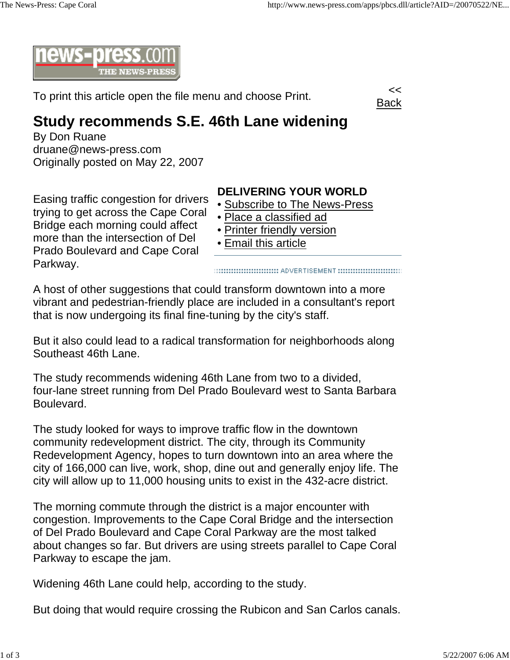

To print this article open the file menu and choose Print.



## **Study recommends S.E. 46th Lane widening**

By Don Ruane druane@news-press.com Originally posted on May 22, 2007

Easing traffic congestion for drivers trying to get across the Cape Coral Bridge each morning could affect more than the intersection of Del Prado Boulevard and Cape Coral Parkway.

## **DELIVERING YOUR WORLD**

- Subscribe to The News-Press
- Place a classified ad
- Printer friendly version
- Email this article

A host of other suggestions that could transform downtown into a more vibrant and pedestrian-friendly place are included in a consultant's report that is now undergoing its final fine-tuning by the city's staff.

But it also could lead to a radical transformation for neighborhoods along Southeast 46th Lane.

The study recommends widening 46th Lane from two to a divided, four-lane street running from Del Prado Boulevard west to Santa Barbara Boulevard.

The study looked for ways to improve traffic flow in the downtown community redevelopment district. The city, through its Community Redevelopment Agency, hopes to turn downtown into an area where the city of 166,000 can live, work, shop, dine out and generally enjoy life. The city will allow up to 11,000 housing units to exist in the 432-acre district.

The morning commute through the district is a major encounter with congestion. Improvements to the Cape Coral Bridge and the intersection of Del Prado Boulevard and Cape Coral Parkway are the most talked about changes so far. But drivers are using streets parallel to Cape Coral Parkway to escape the jam.

Widening 46th Lane could help, according to the study.

But doing that would require crossing the Rubicon and San Carlos canals.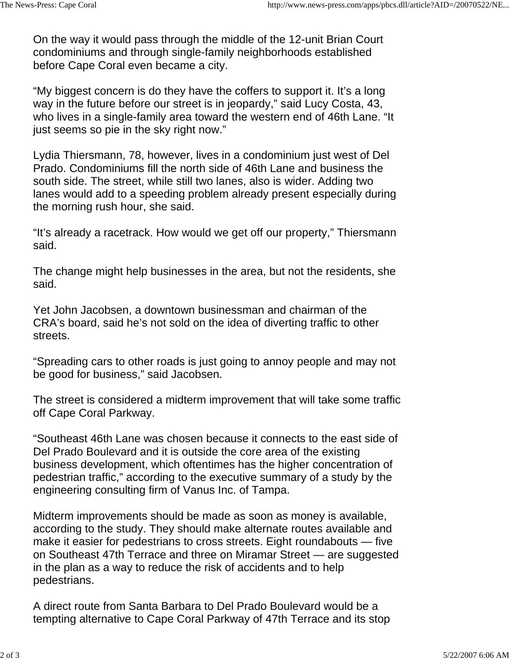On the way it would pass through the middle of the 12-unit Brian Court condominiums and through single-family neighborhoods established before Cape Coral even became a city.

"My biggest concern is do they have the coffers to support it. It's a long way in the future before our street is in jeopardy," said Lucy Costa, 43, who lives in a single-family area toward the western end of 46th Lane. "It just seems so pie in the sky right now."

Lydia Thiersmann, 78, however, lives in a condominium just west of Del Prado. Condominiums fill the north side of 46th Lane and business the south side. The street, while still two lanes, also is wider. Adding two lanes would add to a speeding problem already present especially during the morning rush hour, she said.

"It's already a racetrack. How would we get off our property," Thiersmann said.

The change might help businesses in the area, but not the residents, she said.

Yet John Jacobsen, a downtown businessman and chairman of the CRA's board, said he's not sold on the idea of diverting traffic to other streets.

"Spreading cars to other roads is just going to annoy people and may not be good for business," said Jacobsen.

The street is considered a midterm improvement that will take some traffic off Cape Coral Parkway.

"Southeast 46th Lane was chosen because it connects to the east side of Del Prado Boulevard and it is outside the core area of the existing business development, which oftentimes has the higher concentration of pedestrian traffic," according to the executive summary of a study by the engineering consulting firm of Vanus Inc. of Tampa.

Midterm improvements should be made as soon as money is available, according to the study. They should make alternate routes available and make it easier for pedestrians to cross streets. Eight roundabouts — five on Southeast 47th Terrace and three on Miramar Street — are suggested in the plan as a way to reduce the risk of accidents and to help pedestrians.

A direct route from Santa Barbara to Del Prado Boulevard would be a tempting alternative to Cape Coral Parkway of 47th Terrace and its stop